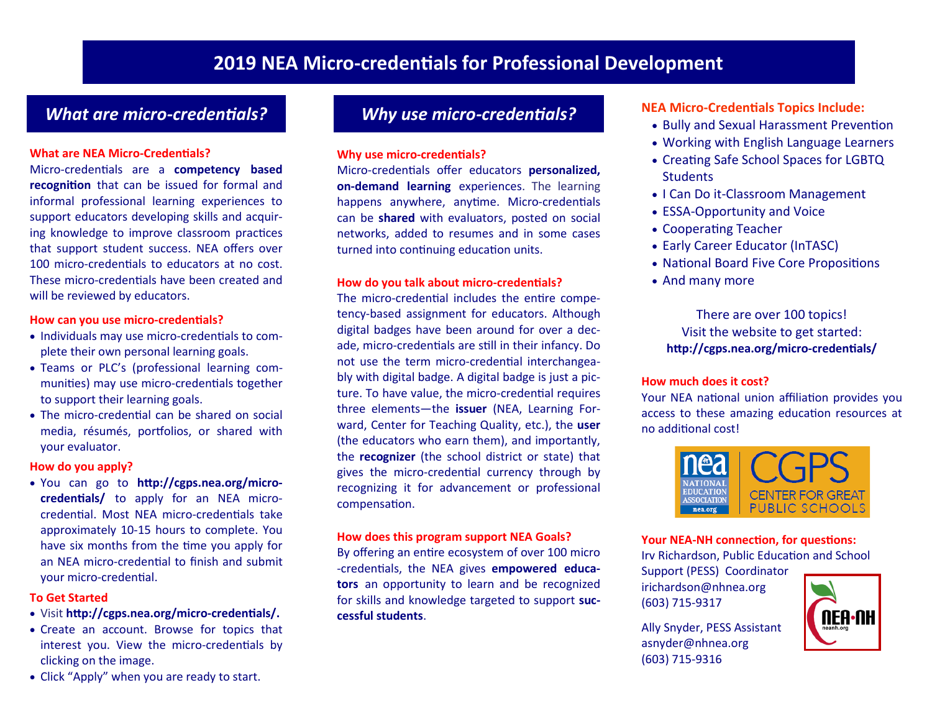# *What are micro-credentials? Why use micro-credentials?*

#### **What are NEA Micro-Credentials?**

Micro-credentials are a **competency based recognition** that can be issued for formal and informal professional learning experiences to support educators developing skills and acquiring knowledge to improve classroom practices that support student success. NEA offers over 100 micro-credentials to educators at no cost. These micro-credentials have been created and will be reviewed by educators.

#### **How can you use micro-credentials?**

- Individuals may use micro-credentials to complete their own personal learning goals.
- Teams or PLC's (professional learning communities) may use micro-credentials together to support their learning goals.
- The micro-credential can be shared on social media, résumés, portfolios, or shared with your evaluator.

#### **How do you apply?**

• You can go to **http://cgps.nea.org/microcredentials/** to apply for an NEA microcredential. Most NEA micro-credentials take approximately 10-15 hours to complete. You have six months from the time you apply for an NEA micro-credential to finish and submit your micro-credential.

#### **To Get Started**

- Visit **http://cgps.nea.org/micro-credentials/.**
- Create an account. Browse for topics that interest you. View the micro-credentials by clicking on the image.
- Click "Apply" when you are ready to start.

#### **Why use micro-credentials?**

Micro-credentials offer educators **personalized, on-demand learning** experiences. The learning happens anywhere, anytime. Micro-credentials can be**shared** with evaluators, posted on social networks, added to resumes and in some cases turned into continuing education units.

#### **How do you talk about micro-credentials?**

The micro-credential includes the entire competency-based assignment for educators. Although digital badges have been around for over a decade, micro-credentials are still in their infancy. Do not use the term micro-credential interchangeably with digital badge. A digital badge is just a picture. To have value, the micro-credential requires three elements—the **issuer** (NEA, Learning Forward, Center for Teaching Quality, etc.), the user (the educators who earn them), and importantly, the**recognizer** (the school district or state) that gives the micro-credential currency through by recognizing it for advancement or professional compensation.

#### **How does this program support NEA Goals?**

By offering an entire ecosystem of over 100 micro -credentials, the NEA gives **empowered educators** an opportunity to learn and be recognized for skills and knowledge targeted to support suc**cessful students**.

#### **NEA Micro-Credentials Topics Include:**

- Bully and Sexual Harassment Prevention
- Working with English Language Learners
- Creating Safe School Spaces for LGBTQ **Students**
- I Can Do it-Classroom Management
- ESSA-Opportunity and Voice
- Cooperating Teacher
- Early Career Educator (InTASC)
- National Board Five Core Propositions
- And many more

### There are over 100 topics! Visit the website to get started: **http://cgps.nea.org/micro-credentials/**

#### **How much does it cost?**

Your NEA national union affiliation provides you access to these amazing education resources at no additional cost!



#### **Your NEA-NH connection, for questions:**

Irv Richardson, Public Education and School

Support (PESS) Coordinator irichardson@nhnea.org (603) 715-9317

Ally Snyder, PESS Assistant asnyder@nhnea.org (603)715-9316